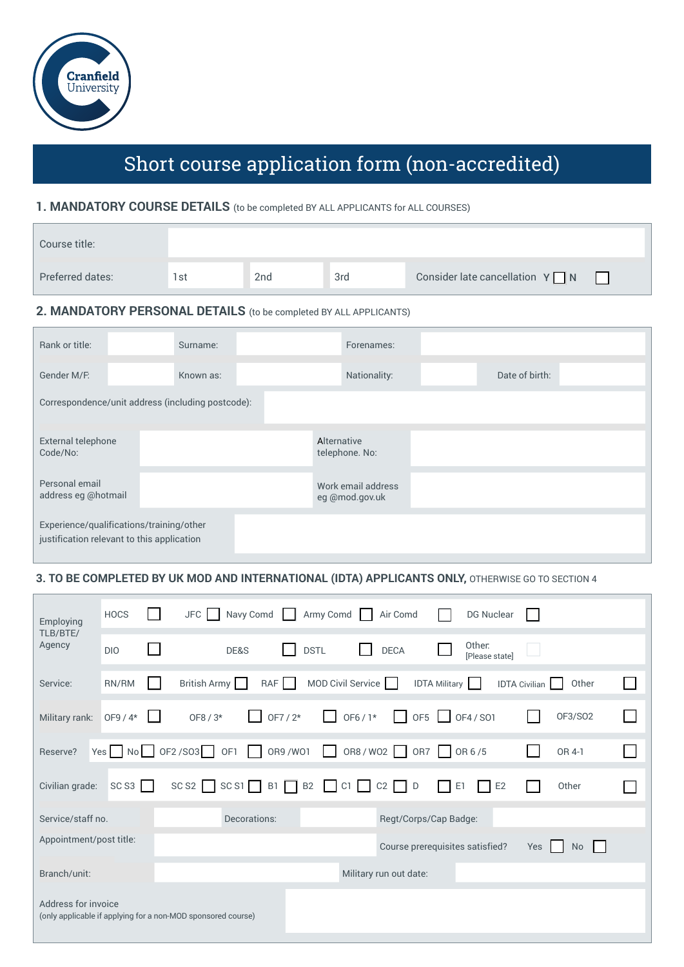

# Short course application form (non-accredited)

#### **1. MANDATORY COURSE DETAILS** (to be completed BY ALL APPLICANTS for ALL COURSES)

| Course title:    |      |                 |     |                                       |  |
|------------------|------|-----------------|-----|---------------------------------------|--|
| Preferred dates: | l st | 2 <sub>nd</sub> | 3rd | Consider late cancellation $Y \cap N$ |  |

## **2. MANDATORY PERSONAL DETAILS** (to be completed BY ALL APPLICANTS)

| Rank or title:                                                                         | Surname:  | Forenames:                           |                |  |  |  |  |
|----------------------------------------------------------------------------------------|-----------|--------------------------------------|----------------|--|--|--|--|
| Gender M/F.                                                                            | Known as: | Nationality:                         | Date of birth: |  |  |  |  |
| Correspondence/unit address (including postcode):                                      |           |                                      |                |  |  |  |  |
|                                                                                        |           |                                      |                |  |  |  |  |
| External telephone<br>Code/No:                                                         |           | Alternative<br>telephone. No:        |                |  |  |  |  |
| Personal email<br>address eg @hotmail                                                  |           | Work email address<br>eg @mod.gov.uk |                |  |  |  |  |
| Experience/qualifications/training/other<br>justification relevant to this application |           |                                      |                |  |  |  |  |

### **3. TO BE COMPLETED BY UK MOD AND INTERNATIONAL (IDTA) APPLICANTS ONLY,** OTHERWISE GO TO SECTION 4

| Employing                                                                           | <b>HOCS</b>        |  | $JFC$        |            | Navy Comd     Army Comd               |          |                   |        | Air Comd               |                       |                      |                                 | DG Nuclear      |                      |           |  |
|-------------------------------------------------------------------------------------|--------------------|--|--------------|------------|---------------------------------------|----------|-------------------|--------|------------------------|-----------------------|----------------------|---------------------------------|-----------------|----------------------|-----------|--|
| TLB/BTE/<br>Agency                                                                  | DI <sub>0</sub>    |  |              |            | DE&S                                  |          | <b>DSTL</b>       |        | <b>DECA</b>            |                       |                      | Other:                          | [Please state]  |                      |           |  |
| Service:                                                                            | RN/RM              |  | British Army |            |                                       | RAF      | MOD Civil Service |        |                        |                       | <b>IDTA Military</b> |                                 |                 | <b>IDTA Civilian</b> | Other     |  |
| Military rank:                                                                      | OF9 / 4*           |  |              | $OF8 / 3*$ |                                       | OF7 / 2* | $\mathbf{1}$      | OF6/1* | $\mathbf{1}$           | $OF5$ $\Box$          |                      | OF4 / SO1                       |                 |                      | OF3/S02   |  |
| Reserve?                                                                            | Yes No OF2/S03 OF1 |  |              |            | $\perp$                               |          | OR9 /WO1          |        | OR8/WO2 OR7 OR 6/5     |                       |                      |                                 |                 |                      | OR 4-1    |  |
| Civilian grade:                                                                     | SCS3               |  |              |            | $SCS2$ $SCS1$ $B1$ $B2$ $C1$ $C2$ $D$ |          |                   |        |                        |                       |                      | E1                              | $\mathsf{L}$ E2 |                      | Other     |  |
| Service/staff no.                                                                   |                    |  |              |            | Decorations:                          |          |                   |        |                        | Regt/Corps/Cap Badge: |                      |                                 |                 |                      |           |  |
| Appointment/post title:                                                             |                    |  |              |            |                                       |          |                   |        |                        |                       |                      | Course prerequisites satisfied? |                 | Yes                  | <b>No</b> |  |
| Branch/unit:                                                                        |                    |  |              |            |                                       |          |                   |        | Military run out date: |                       |                      |                                 |                 |                      |           |  |
| Address for invoice<br>(only applicable if applying for a non-MOD sponsored course) |                    |  |              |            |                                       |          |                   |        |                        |                       |                      |                                 |                 |                      |           |  |